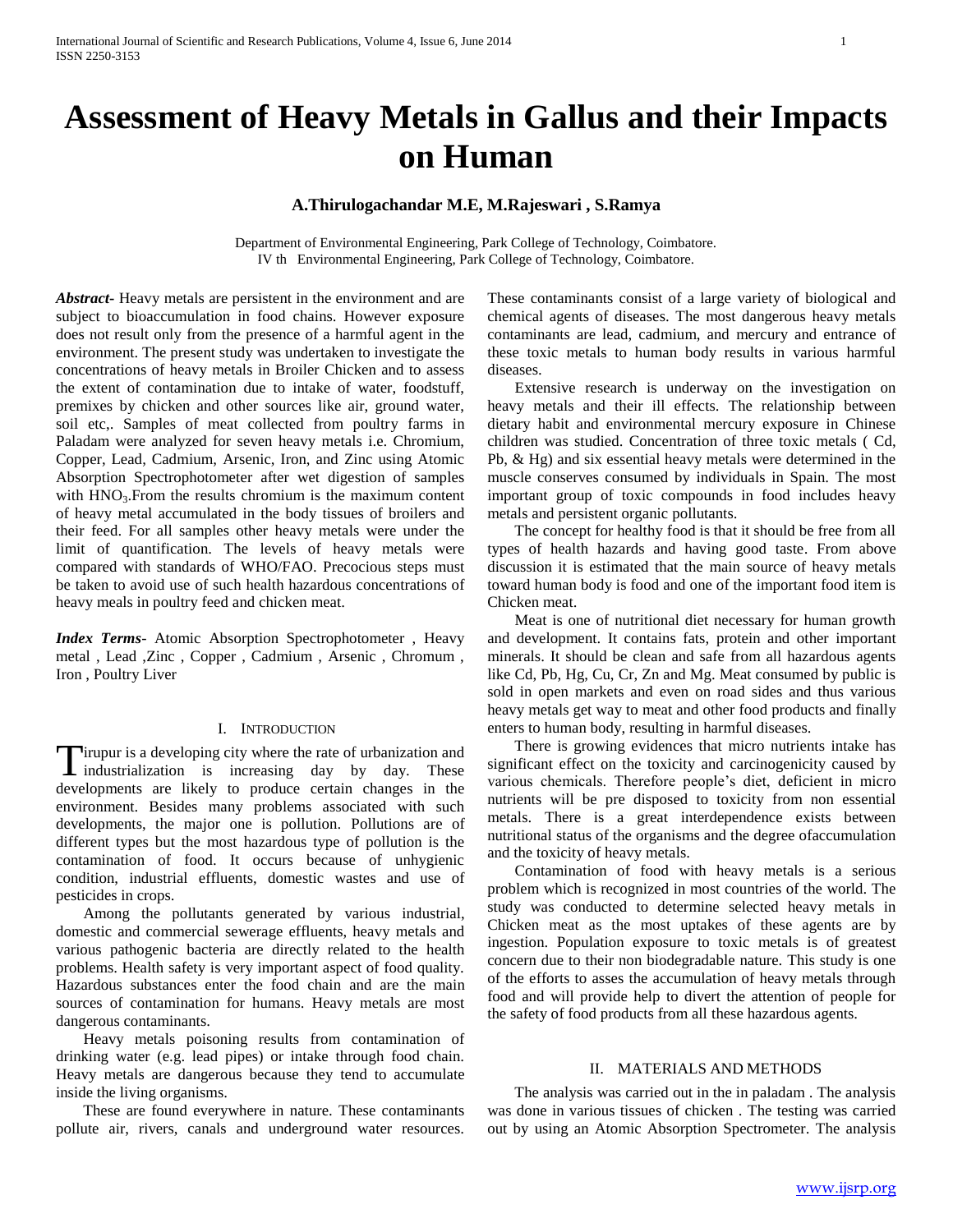# **Assessment of Heavy Metals in Gallus and their Impacts on Human**

# **A.Thirulogachandar M.E, M.Rajeswari , S.Ramya**

Department of Environmental Engineering, Park College of Technology, Coimbatore. IV th Environmental Engineering, Park College of Technology, Coimbatore.

*Abstract***-** Heavy metals are persistent in the environment and are subject to bioaccumulation in food chains. However exposure does not result only from the presence of a harmful agent in the environment. The present study was undertaken to investigate the concentrations of heavy metals in Broiler Chicken and to assess the extent of contamination due to intake of water, foodstuff, premixes by chicken and other sources like air, ground water, soil etc,. Samples of meat collected from poultry farms in Paladam were analyzed for seven heavy metals i.e. Chromium, Copper, Lead, Cadmium, Arsenic, Iron, and Zinc using Atomic Absorption Spectrophotometer after wet digestion of samples with  $HNO<sub>3</sub>$ . From the results chromium is the maximum content of heavy metal accumulated in the body tissues of broilers and their feed. For all samples other heavy metals were under the limit of quantification. The levels of heavy metals were compared with standards of WHO/FAO. Precocious steps must be taken to avoid use of such health hazardous concentrations of heavy meals in poultry feed and chicken meat.

*Index Terms*- Atomic Absorption Spectrophotometer , Heavy metal , Lead ,Zinc , Copper , Cadmium , Arsenic , Chromum , Iron , Poultry Liver

## I. INTRODUCTION

**Tirupur** is a developing city where the rate of urbanization and Tirupur is a developing city where the rate of urbanization and industrialization is increasing day by day. These developments are likely to produce certain changes in the environment. Besides many problems associated with such developments, the major one is pollution. Pollutions are of different types but the most hazardous type of pollution is the contamination of food. It occurs because of unhygienic condition, industrial effluents, domestic wastes and use of pesticides in crops.

 Among the pollutants generated by various industrial, domestic and commercial sewerage effluents, heavy metals and various pathogenic bacteria are directly related to the health problems. Health safety is very important aspect of food quality. Hazardous substances enter the food chain and are the main sources of contamination for humans. Heavy metals are most dangerous contaminants.

 Heavy metals poisoning results from contamination of drinking water (e.g. lead pipes) or intake through food chain. Heavy metals are dangerous because they tend to accumulate inside the living organisms.

 These are found everywhere in nature. These contaminants pollute air, rivers, canals and underground water resources.

These contaminants consist of a large variety of biological and chemical agents of diseases. The most dangerous heavy metals contaminants are lead, cadmium, and mercury and entrance of these toxic metals to human body results in various harmful diseases.

 Extensive research is underway on the investigation on heavy metals and their ill effects. The relationship between dietary habit and environmental mercury exposure in Chinese children was studied. Concentration of three toxic metals ( Cd, Pb, & Hg) and six essential heavy metals were determined in the muscle conserves consumed by individuals in Spain. The most important group of toxic compounds in food includes heavy metals and persistent organic pollutants.

 The concept for healthy food is that it should be free from all types of health hazards and having good taste. From above discussion it is estimated that the main source of heavy metals toward human body is food and one of the important food item is Chicken meat.

 Meat is one of nutritional diet necessary for human growth and development. It contains fats, protein and other important minerals. It should be clean and safe from all hazardous agents like Cd, Pb, Hg, Cu, Cr, Zn and Mg. Meat consumed by public is sold in open markets and even on road sides and thus various heavy metals get way to meat and other food products and finally enters to human body, resulting in harmful diseases.

 There is growing evidences that micro nutrients intake has significant effect on the toxicity and carcinogenicity caused by various chemicals. Therefore people's diet, deficient in micro nutrients will be pre disposed to toxicity from non essential metals. There is a great interdependence exists between nutritional status of the organisms and the degree ofaccumulation and the toxicity of heavy metals.

 Contamination of food with heavy metals is a serious problem which is recognized in most countries of the world. The study was conducted to determine selected heavy metals in Chicken meat as the most uptakes of these agents are by ingestion. Population exposure to toxic metals is of greatest concern due to their non biodegradable nature. This study is one of the efforts to asses the accumulation of heavy metals through food and will provide help to divert the attention of people for the safety of food products from all these hazardous agents.

# II. MATERIALS AND METHODS

 The analysis was carried out in the in paladam . The analysis was done in various tissues of chicken . The testing was carried out by using an Atomic Absorption Spectrometer. The analysis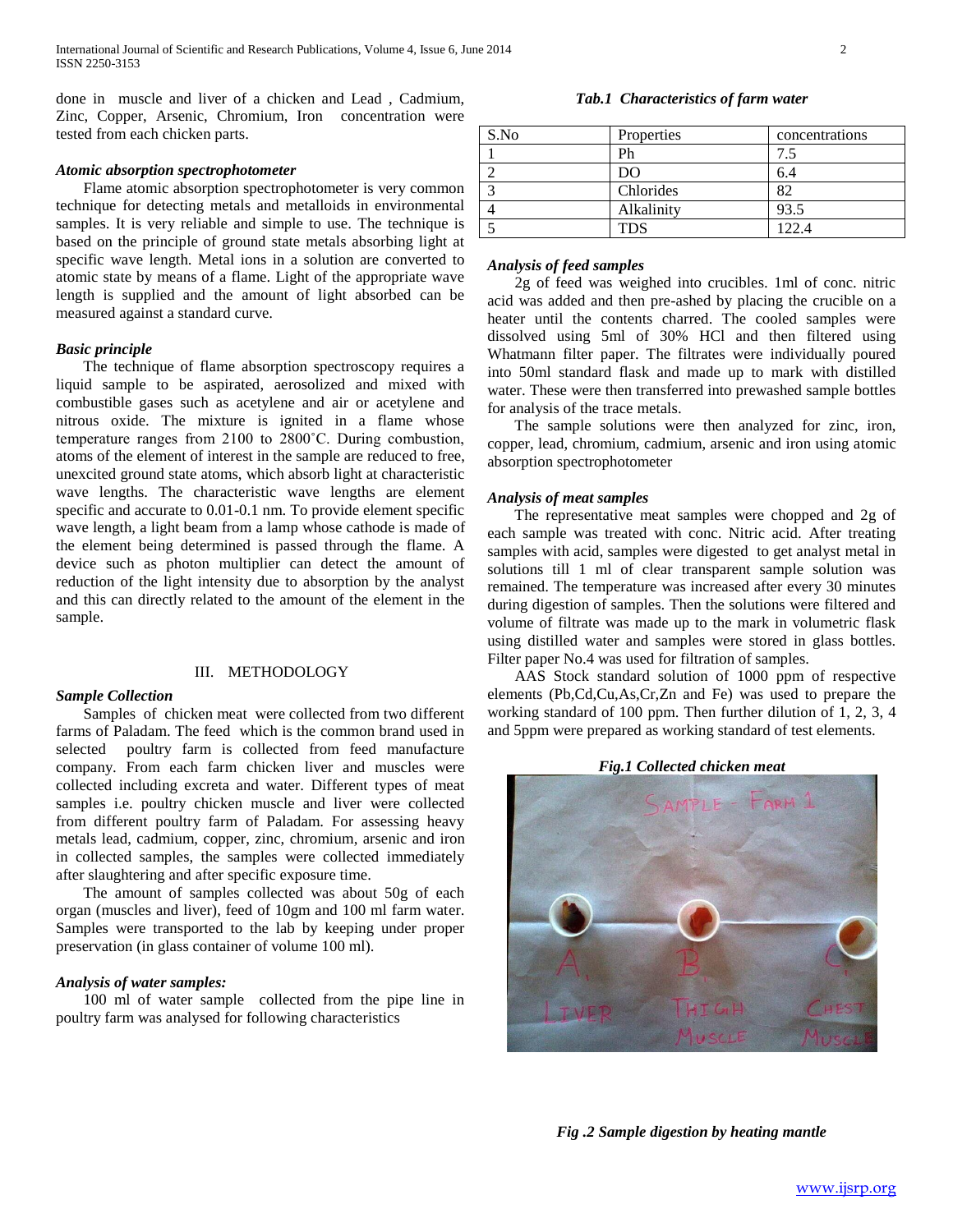done in muscle and liver of a chicken and Lead , Cadmium, Zinc, Copper, Arsenic, Chromium, Iron concentration were tested from each chicken parts.

## *Atomic absorption spectrophotometer*

 Flame atomic absorption spectrophotometer is very common technique for detecting metals and metalloids in environmental samples. It is very reliable and simple to use. The technique is based on the principle of ground state metals absorbing light at specific wave length. Metal ions in a solution are converted to atomic state by means of a flame. Light of the appropriate wave length is supplied and the amount of light absorbed can be measured against a standard curve.

# *Basic principle*

 The technique of flame absorption spectroscopy requires a liquid sample to be aspirated, aerosolized and mixed with combustible gases such as acetylene and air or acetylene and nitrous oxide. The mixture is ignited in a flame whose temperature ranges from 2100 to 2800˚C. During combustion, atoms of the element of interest in the sample are reduced to free, unexcited ground state atoms, which absorb light at characteristic wave lengths. The characteristic wave lengths are element specific and accurate to 0.01-0.1 nm. To provide element specific wave length, a light beam from a lamp whose cathode is made of the element being determined is passed through the flame. A device such as photon multiplier can detect the amount of reduction of the light intensity due to absorption by the analyst and this can directly related to the amount of the element in the sample.

# III. METHODOLOGY

### *Sample Collection*

 Samples of chicken meat were collected from two different farms of Paladam. The feed which is the common brand used in selected poultry farm is collected from feed manufacture company. From each farm chicken liver and muscles were collected including excreta and water. Different types of meat samples i.e. poultry chicken muscle and liver were collected from different poultry farm of Paladam. For assessing heavy metals lead, cadmium, copper, zinc, chromium, arsenic and iron in collected samples, the samples were collected immediately after slaughtering and after specific exposure time.

 The amount of samples collected was about 50g of each organ (muscles and liver), feed of 10gm and 100 ml farm water. Samples were transported to the lab by keeping under proper preservation (in glass container of volume 100 ml).

## *Analysis of water samples:*

 100 ml of water sample collected from the pipe line in poultry farm was analysed for following characteristics

# *Tab.1 Characteristics of farm water*

| S.No | Properties | concentrations |
|------|------------|----------------|
|      | Ph         | 7.5            |
|      | DΟ         | 6.4            |
|      | Chlorides  | 82             |
|      | Alkalinity | 93.5           |
|      | <b>TDS</b> | 122.4          |

## *Analysis of feed samples*

 2g of feed was weighed into crucibles. 1ml of conc. nitric acid was added and then pre-ashed by placing the crucible on a heater until the contents charred. The cooled samples were dissolved using 5ml of 30% HCl and then filtered using Whatmann filter paper. The filtrates were individually poured into 50ml standard flask and made up to mark with distilled water. These were then transferred into prewashed sample bottles for analysis of the trace metals.

 The sample solutions were then analyzed for zinc, iron, copper, lead, chromium, cadmium, arsenic and iron using atomic absorption spectrophotometer

## *Analysis of meat samples*

 The representative meat samples were chopped and 2g of each sample was treated with conc. Nitric acid. After treating samples with acid, samples were digested to get analyst metal in solutions till 1 ml of clear transparent sample solution was remained. The temperature was increased after every 30 minutes during digestion of samples. Then the solutions were filtered and volume of filtrate was made up to the mark in volumetric flask using distilled water and samples were stored in glass bottles. Filter paper No.4 was used for filtration of samples.

 AAS Stock standard solution of 1000 ppm of respective elements (Pb,Cd,Cu,As,Cr,Zn and Fe) was used to prepare the working standard of 100 ppm. Then further dilution of 1, 2, 3, 4 and 5ppm were prepared as working standard of test elements.

## *Fig.1 Collected chicken meat*



*Fig .2 Sample digestion by heating mantle*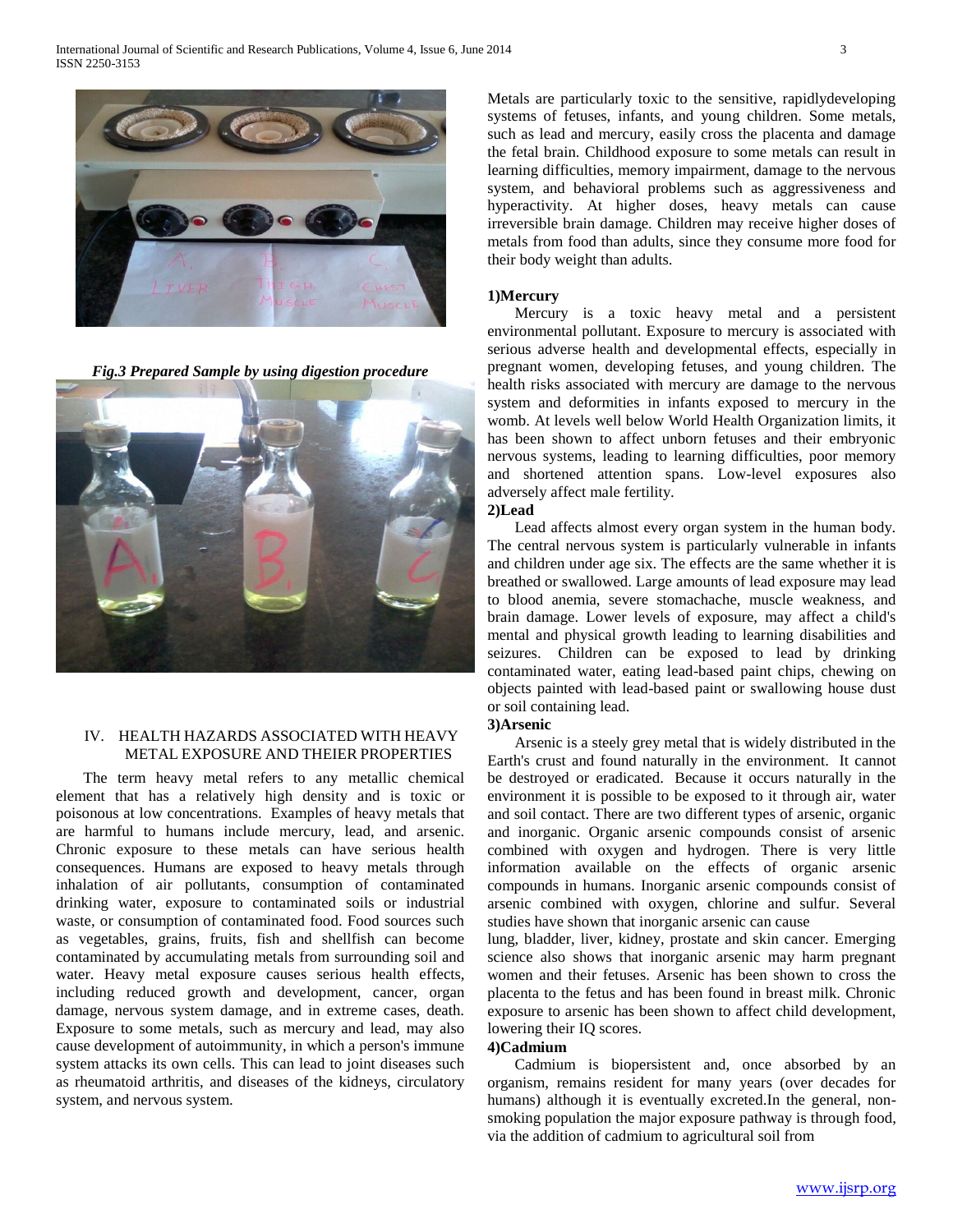International Journal of Scientific and Research Publications, Volume 4, Issue 6, June 2014 3 ISSN 2250-3153



*Fig.3 Prepared Sample by using digestion procedure*



# IV. HEALTH HAZARDS ASSOCIATED WITH HEAVY METAL EXPOSURE AND THEIER PROPERTIES

 The term heavy metal refers to any metallic chemical element that has a relatively high density and is toxic or poisonous at low concentrations. Examples of heavy metals that are harmful to humans include mercury, lead, and arsenic. Chronic exposure to these metals can have serious health consequences. Humans are exposed to heavy metals through inhalation of air pollutants, consumption of contaminated drinking water, exposure to contaminated soils or industrial waste, or consumption of contaminated food. Food sources such as vegetables, grains, fruits, fish and shellfish can become contaminated by accumulating metals from surrounding soil and water. Heavy metal exposure causes serious health effects, including reduced growth and development, cancer, organ damage, nervous system damage, and in extreme cases, death. Exposure to some metals, such as mercury and lead, may also cause development of autoimmunity, in which a person's immune system attacks its own cells. This can lead to joint diseases such as rheumatoid arthritis, and diseases of the kidneys, circulatory system, and nervous system.

Metals are particularly toxic to the sensitive, rapidlydeveloping systems of fetuses, infants, and young children. Some metals, such as lead and mercury, easily cross the placenta and damage the fetal brain. Childhood exposure to some metals can result in learning difficulties, memory impairment, damage to the nervous system, and behavioral problems such as aggressiveness and hyperactivity. At higher doses, heavy metals can cause irreversible brain damage. Children may receive higher doses of metals from food than adults, since they consume more food for their body weight than adults.

## **1)Mercury**

 Mercury is a toxic heavy metal and a persistent environmental pollutant. Exposure to mercury is associated with serious adverse health and developmental effects, especially in pregnant women, developing fetuses, and young children. The health risks associated with mercury are damage to the nervous system and deformities in infants exposed to mercury in the womb. At levels well below World Health Organization limits, it has been shown to affect unborn fetuses and their embryonic nervous systems, leading to learning difficulties, poor memory and shortened attention spans. Low-level exposures also adversely affect male fertility.

# **2)Lead**

 Lead affects almost every organ system in the human body. The central nervous system is particularly vulnerable in infants and children under age six. The effects are the same whether it is breathed or swallowed. Large amounts of lead exposure may lead to blood anemia, severe stomachache, muscle weakness, and brain damage. Lower levels of exposure, may affect a child's mental and physical growth leading to learning disabilities and seizures. Children can be exposed to lead by drinking contaminated water, eating lead-based paint chips, chewing on objects painted with lead-based paint or swallowing house dust or soil containing lead.

## **3)Arsenic**

 Arsenic is a steely grey metal that is widely distributed in the Earth's crust and found naturally in the environment. It cannot be destroyed or eradicated. Because it occurs naturally in the environment it is possible to be exposed to it through air, water and soil contact. There are two different types of arsenic, organic and inorganic. Organic arsenic compounds consist of arsenic combined with oxygen and hydrogen. There is very little information available on the effects of organic arsenic compounds in humans. Inorganic arsenic compounds consist of arsenic combined with oxygen, chlorine and sulfur. Several studies have shown that inorganic arsenic can cause

lung, bladder, liver, kidney, prostate and skin cancer. Emerging science also shows that inorganic arsenic may harm pregnant women and their fetuses. Arsenic has been shown to cross the placenta to the fetus and has been found in breast milk. Chronic exposure to arsenic has been shown to affect child development, lowering their IQ scores.

# **4)Cadmium**

 Cadmium is biopersistent and, once absorbed by an organism, remains resident for many years (over decades for humans) although it is eventually excreted.In the general, nonsmoking population the major exposure pathway is through food, via the addition of cadmium to agricultural soil from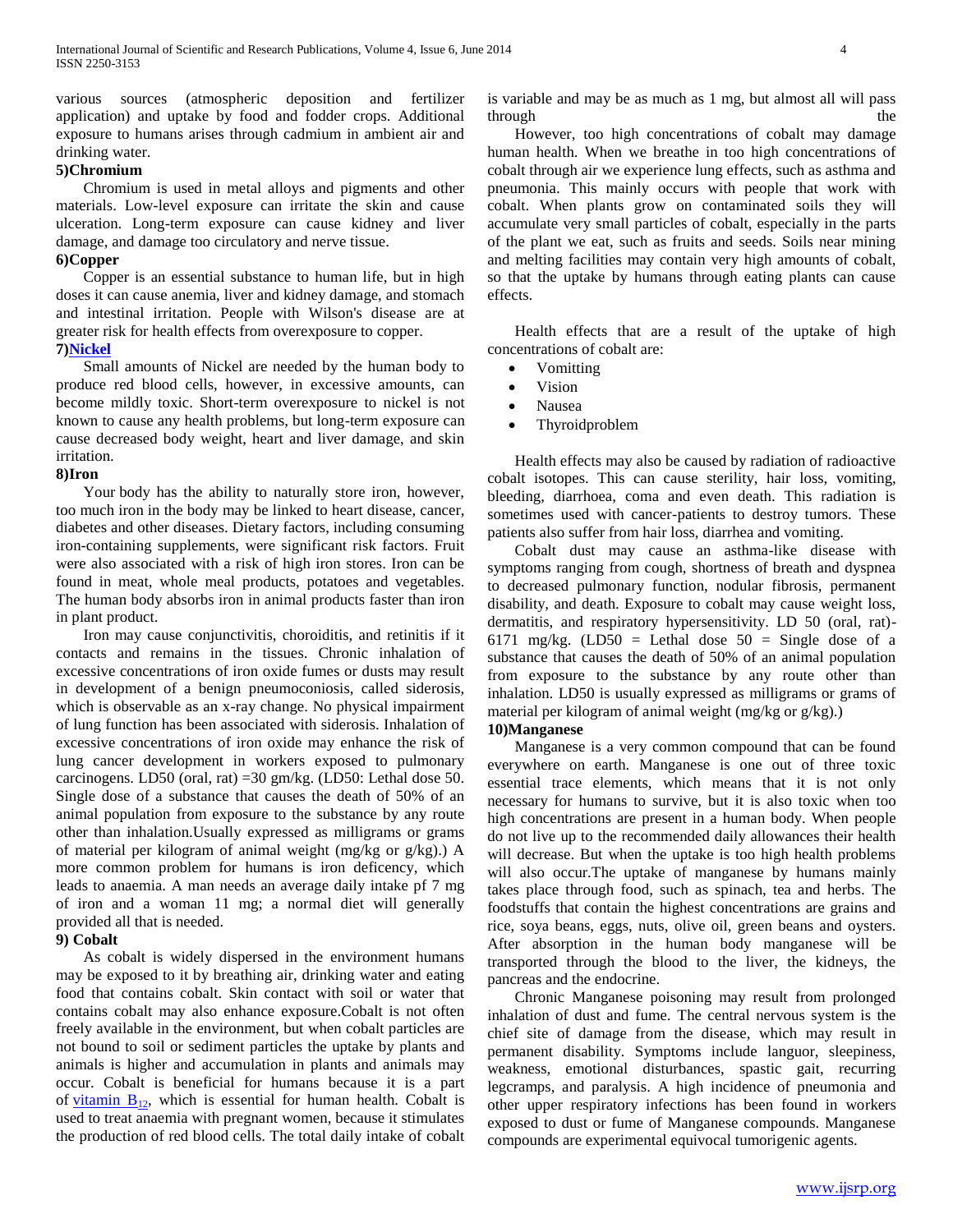various sources (atmospheric deposition and fertilizer application) and uptake by food and fodder crops. Additional exposure to humans arises through cadmium in ambient air and drinking water.

# **5)Chromium**

 Chromium is used in metal alloys and pigments and other materials. Low-level exposure can irritate the skin and cause ulceration. Long-term exposure can cause kidney and liver damage, and damage too circulatory and nerve tissue.

# **6)Copper**

 Copper is an essential substance to human life, but in high doses it can cause anemia, liver and kidney damage, and stomach and intestinal irritation. People with Wilson's disease are at greater risk for health effects from overexposure to copper. **7[\)Nickel](http://www.lenntech.com/Periodic-chart-elements/Ni-en.htm)**

# Small amounts of Nickel are needed by the human body to produce red blood cells, however, in excessive amounts, can become mildly toxic. Short-term overexposure to nickel is not known to cause any health problems, but long-term exposure can cause decreased body weight, heart and liver damage, and skin irritation.

# **8)Iron**

 Your body has the ability to naturally store iron, however, too much iron in the body may be linked to heart disease, cancer, diabetes and other diseases. Dietary factors, including consuming iron-containing supplements, were significant risk factors. Fruit were also associated with a risk of high iron stores. Iron can be found in meat, whole meal products, potatoes and vegetables. The human body absorbs iron in animal products faster than iron in plant product.

 Iron may cause conjunctivitis, choroiditis, and retinitis if it contacts and remains in the tissues. Chronic inhalation of excessive concentrations of iron oxide fumes or dusts may result in development of a benign pneumoconiosis, called siderosis, which is observable as an x-ray change. No physical impairment of lung function has been associated with siderosis. Inhalation of excessive concentrations of iron oxide may enhance the risk of lung cancer development in workers exposed to pulmonary carcinogens. LD50 (oral, rat) =30 gm/kg. (LD50: Lethal dose 50. Single dose of a substance that causes the death of 50% of an animal population from exposure to the substance by any route other than inhalation.Usually expressed as milligrams or grams of material per kilogram of animal weight (mg/kg or g/kg).) A more common problem for humans is iron deficency, which leads to anaemia. A man needs an average daily intake pf 7 mg of iron and a woman 11 mg; a normal diet will generally provided all that is needed.

# **9) Cobalt**

 As cobalt is widely dispersed in the environment humans may be exposed to it by breathing air, drinking water and eating food that contains cobalt. Skin contact with soil or water that contains cobalt may also enhance exposure.Cobalt is not often freely available in the environment, but when cobalt particles are not bound to soil or sediment particles the uptake by plants and animals is higher and accumulation in plants and animals may occur. Cobalt is beneficial for humans because it is a part of vitamin  $B_{12}$ , which is essential for human health. Cobalt is used to treat anaemia with pregnant women, because it stimulates the production of red blood cells. The total daily intake of cobalt is variable and may be as much as 1 mg, but almost all will pass through the state of the state of the state of the state of the state of the state of the state of the state of the state of the state of the state of the state of the state of the state of the state of the state of the st

 However, too high concentrations of cobalt may damage human health. When we breathe in too high concentrations of cobalt through air we experience lung effects, such as asthma and pneumonia. This mainly occurs with people that work with cobalt. When plants grow on contaminated soils they will accumulate very small particles of cobalt, especially in the parts of the plant we eat, such as fruits and seeds. Soils near mining and melting facilities may contain very high amounts of cobalt, so that the uptake by humans through eating plants can cause effects.

 Health effects that are a result of the uptake of high concentrations of cobalt are:

- Vomitting
- Vision
- Nausea
- Thyroidproblem

 Health effects may also be caused by radiation of radioactive cobalt isotopes. This can cause sterility, hair loss, vomiting, bleeding, diarrhoea, coma and even death. This radiation is sometimes used with cancer-patients to destroy tumors. These patients also suffer from hair loss, diarrhea and vomiting.

 Cobalt dust may cause an asthma-like disease with symptoms ranging from cough, shortness of breath and dyspnea to decreased pulmonary function, nodular fibrosis, permanent disability, and death. Exposure to cobalt may cause weight loss, dermatitis, and respiratory hypersensitivity. LD 50 (oral, rat)- 6171 mg/kg. (LD50 = Lethal dose  $50 =$  Single dose of a substance that causes the death of 50% of an animal population from exposure to the substance by any route other than inhalation. LD50 is usually expressed as milligrams or grams of material per kilogram of animal weight (mg/kg or g/kg).)

# **10)Manganese**

 Manganese is a very common compound that can be found everywhere on earth. Manganese is one out of three toxic essential trace elements, which means that it is not only necessary for humans to survive, but it is also toxic when too high concentrations are present in a human body. When people do not live up to the recommended daily allowances their health will decrease. But when the uptake is too high health problems will also occur.The uptake of manganese by humans mainly takes place through food, such as spinach, tea and herbs. The foodstuffs that contain the highest concentrations are grains and rice, soya beans, eggs, nuts, olive oil, green beans and oysters. After absorption in the human body manganese will be transported through the blood to the liver, the kidneys, the pancreas and the endocrine.

 Chronic Manganese poisoning may result from prolonged inhalation of dust and fume. The central nervous system is the chief site of damage from the disease, which may result in permanent disability. Symptoms include languor, sleepiness, weakness, emotional disturbances, spastic gait, recurring legcramps, and paralysis. A high incidence of pneumonia and other upper respiratory infections has been found in workers exposed to dust or fume of Manganese compounds. Manganese compounds are experimental equivocal tumorigenic agents.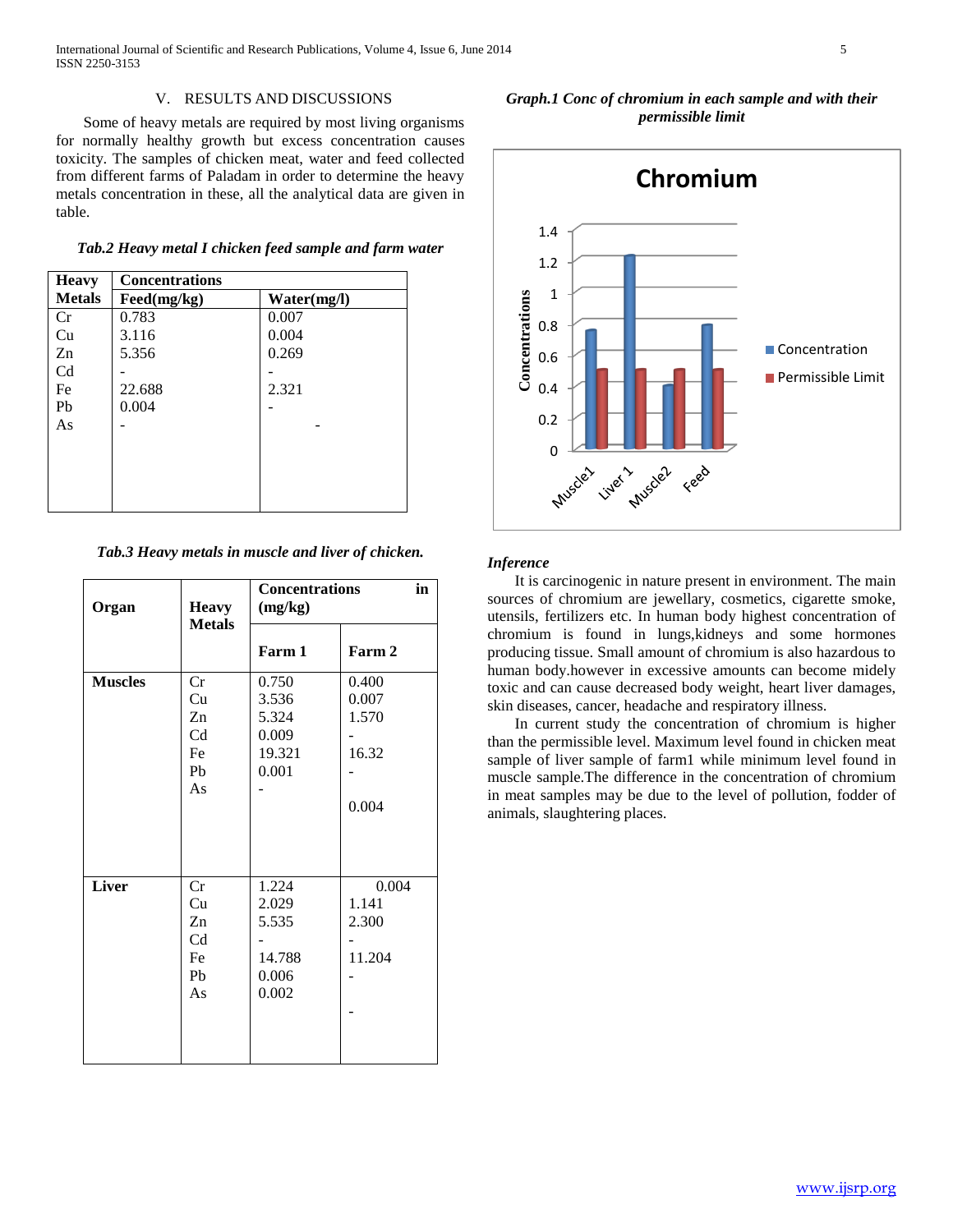International Journal of Scientific and Research Publications, Volume 4, Issue 6, June 2014 5 ISSN 2250-3153

## V. RESULTS AND DISCUSSIONS

 Some of heavy metals are required by most living organisms for normally healthy growth but excess concentration causes toxicity. The samples of chicken meat, water and feed collected from different farms of Paladam in order to determine the heavy metals concentration in these, all the analytical data are given in table.

*Tab.2 Heavy metal I chicken feed sample and farm water*

| <b>Concentrations</b> |             |  |
|-----------------------|-------------|--|
| $\text{Feed}(mg/kg)$  | Water(mg/l) |  |
| 0.783                 | 0.007       |  |
| 3.116                 | 0.004       |  |
| 5.356                 | 0.269       |  |
|                       |             |  |
| 22.688                | 2.321       |  |
| 0.004                 |             |  |
|                       |             |  |
|                       |             |  |
|                       |             |  |
|                       |             |  |
|                       |             |  |
|                       |             |  |

*Tab.3 Heavy metals in muscle and liver of chicken.*

| Organ          | <b>Heavy</b><br><b>Metals</b>                      | <b>Concentrations</b><br>in<br>(mg/kg)              |                                           |  |
|----------------|----------------------------------------------------|-----------------------------------------------------|-------------------------------------------|--|
|                |                                                    | Farm 1                                              | Farm 2                                    |  |
| <b>Muscles</b> | Cr<br>Cu<br>Zn<br>Cd<br>Fe<br>P <sub>b</sub><br>As | 0.750<br>3.536<br>5.324<br>0.009<br>19.321<br>0.001 | 0.400<br>0.007<br>1.570<br>16.32<br>0.004 |  |
| <b>Liver</b>   | Cr<br>Cu<br>Zn<br>Cd<br>Fe<br>P <sub>b</sub><br>As | 1.224<br>2.029<br>5.535<br>14.788<br>0.006<br>0.002 | 0.004<br>1.141<br>2.300<br>11.204         |  |



# *Graph.1 Conc of chromium in each sample and with their permissible limit*

# *Inference*

 It is carcinogenic in nature present in environment. The main sources of chromium are jewellary, cosmetics, cigarette smoke, utensils, fertilizers etc. In human body highest concentration of chromium is found in lungs,kidneys and some hormones producing tissue. Small amount of chromium is also hazardous to human body.however in excessive amounts can become midely toxic and can cause decreased body weight, heart liver damages, skin diseases, cancer, headache and respiratory illness.

 In current study the concentration of chromium is higher than the permissible level. Maximum level found in chicken meat sample of liver sample of farm1 while minimum level found in muscle sample.The difference in the concentration of chromium in meat samples may be due to the level of pollution, fodder of animals, slaughtering places.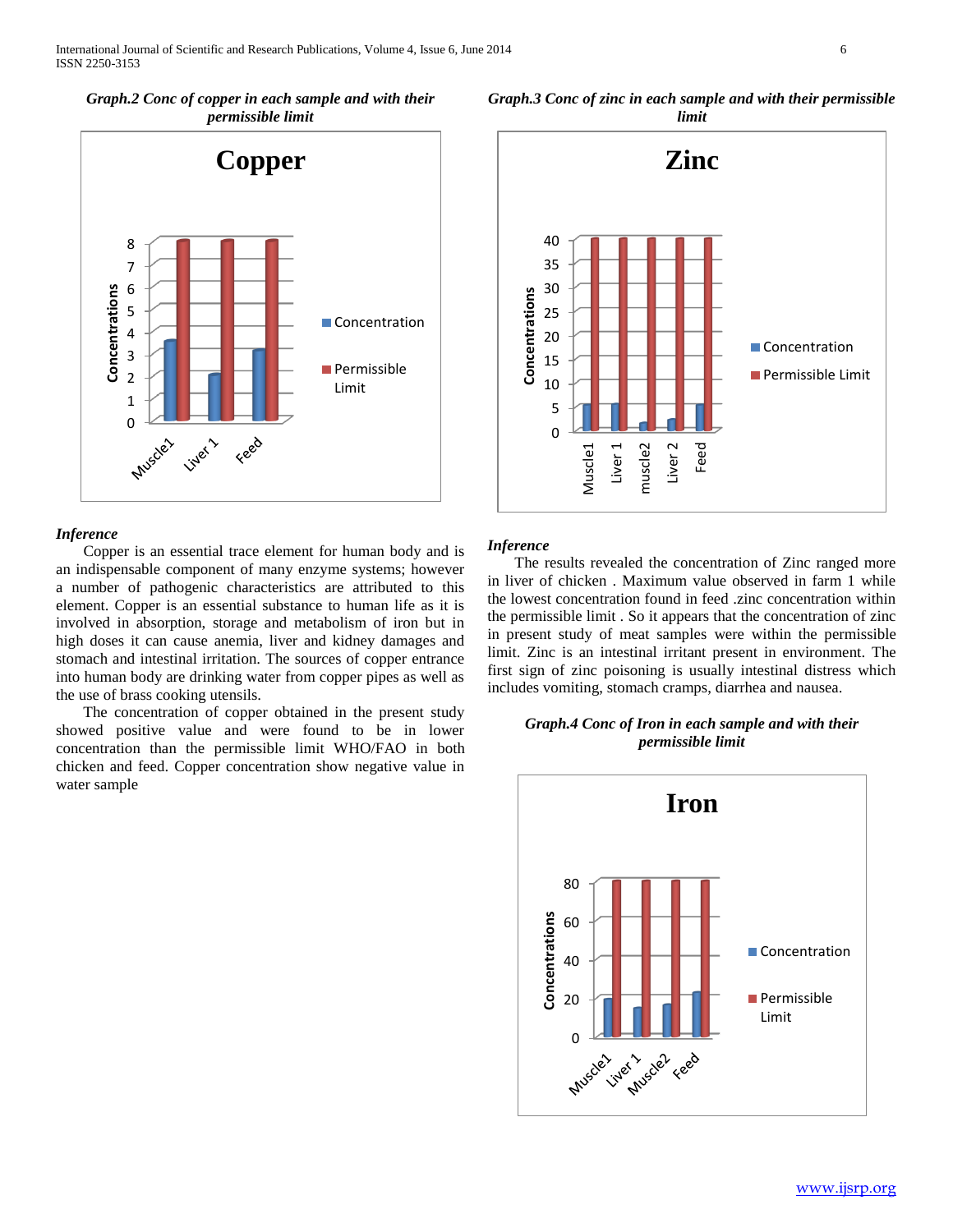

# *Inference*

 Copper is an essential trace element for human body and is an indispensable component of many enzyme systems; however a number of pathogenic characteristics are attributed to this element. Copper is an essential substance to human life as it is involved in absorption, storage and metabolism of iron but in high doses it can cause anemia, liver and kidney damages and stomach and intestinal irritation. The sources of copper entrance into human body are drinking water from copper pipes as well as the use of brass cooking utensils.

 The concentration of copper obtained in the present study showed positive value and were found to be in lower concentration than the permissible limit WHO/FAO in both chicken and feed. Copper concentration show negative value in water sample

## *Inference*

 The results revealed the concentration of Zinc ranged more in liver of chicken . Maximum value observed in farm 1 while the lowest concentration found in feed .zinc concentration within the permissible limit . So it appears that the concentration of zinc in present study of meat samples were within the permissible limit. Zinc is an intestinal irritant present in environment. The first sign of zinc poisoning is usually intestinal distress which includes vomiting, stomach cramps, diarrhea and nausea.





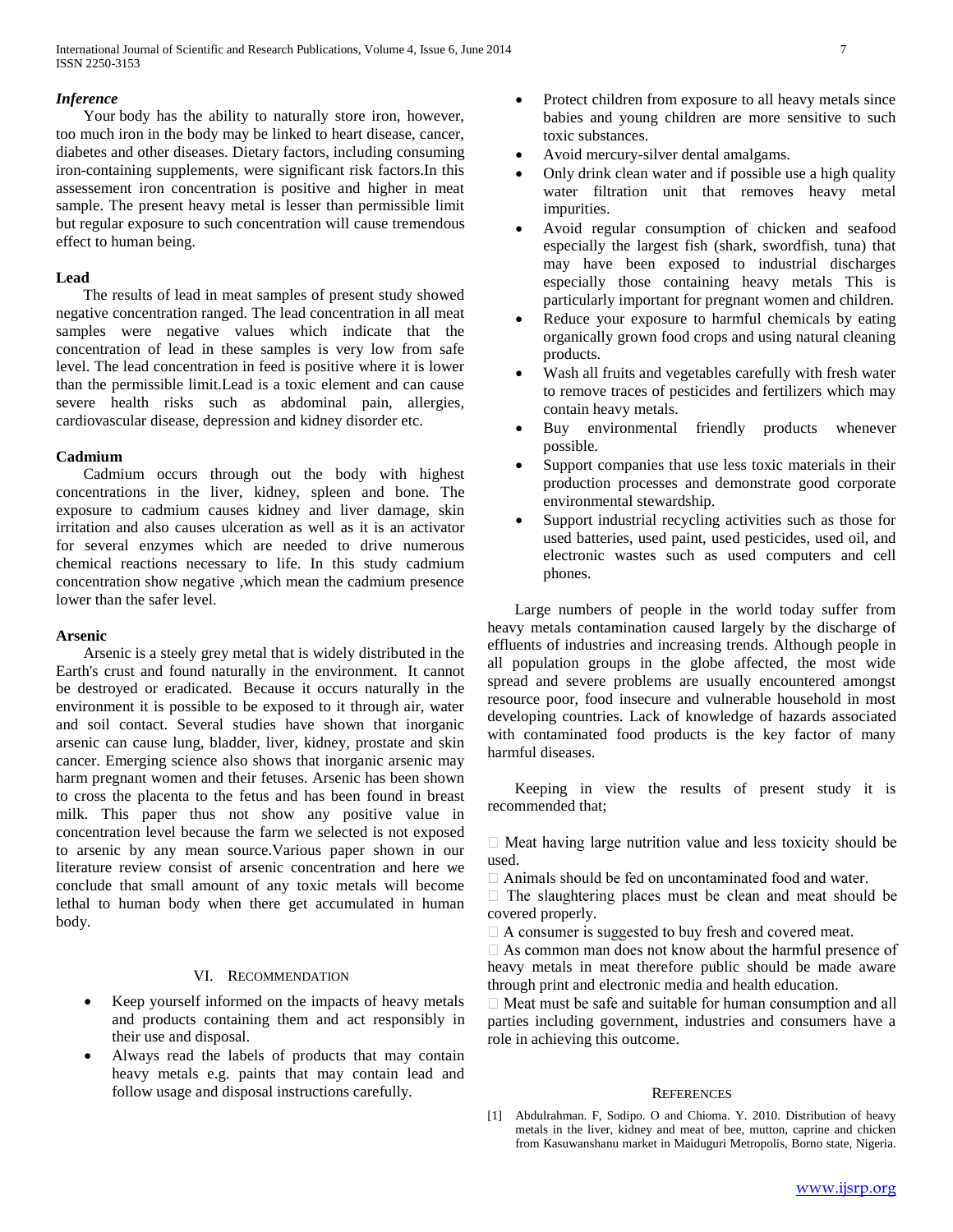International Journal of Scientific and Research Publications, Volume 4, Issue 6, June 2014 7 ISSN 2250-3153

## *Inference*

 Your body has the ability to naturally store iron, however, too much iron in the body may be linked to heart disease, cancer, diabetes and other diseases. Dietary factors, including consuming iron-containing supplements, were significant risk factors.In this assessement iron concentration is positive and higher in meat sample. The present heavy metal is lesser than permissible limit but regular exposure to such concentration will cause tremendous effect to human being.

## **Lead**

 The results of lead in meat samples of present study showed negative concentration ranged. The lead concentration in all meat samples were negative values which indicate that the concentration of lead in these samples is very low from safe level. The lead concentration in feed is positive where it is lower than the permissible limit.Lead is a toxic element and can cause severe health risks such as abdominal pain, allergies, cardiovascular disease, depression and kidney disorder etc.

## **Cadmium**

 Cadmium occurs through out the body with highest concentrations in the liver, kidney, spleen and bone. The exposure to cadmium causes kidney and liver damage, skin irritation and also causes ulceration as well as it is an activator for several enzymes which are needed to drive numerous chemical reactions necessary to life. In this study cadmium concentration show negative ,which mean the cadmium presence lower than the safer level.

### **Arsenic**

 Arsenic is a steely grey metal that is widely distributed in the Earth's crust and found naturally in the environment. It cannot be destroyed or eradicated. Because it occurs naturally in the environment it is possible to be exposed to it through air, water and soil contact. Several studies have shown that inorganic arsenic can cause lung, bladder, liver, kidney, prostate and skin cancer. Emerging science also shows that inorganic arsenic may harm pregnant women and their fetuses. Arsenic has been shown to cross the placenta to the fetus and has been found in breast milk. This paper thus not show any positive value in concentration level because the farm we selected is not exposed to arsenic by any mean source.Various paper shown in our literature review consist of arsenic concentration and here we conclude that small amount of any toxic metals will become lethal to human body when there get accumulated in human body.

# VI. RECOMMENDATION

- Keep yourself informed on the impacts of heavy metals and products containing them and act responsibly in their use and disposal.
- Always read the labels of products that may contain heavy metals e.g. paints that may contain lead and follow usage and disposal instructions carefully.
- Protect children from exposure to all heavy metals since babies and young children are more sensitive to such toxic substances.
- Avoid mercury-silver dental amalgams.
- Only drink clean water and if possible use a high quality water filtration unit that removes heavy metal impurities.
- Avoid regular consumption of chicken and seafood especially the largest fish (shark, swordfish, tuna) that may have been exposed to industrial discharges especially those containing heavy metals This is particularly important for pregnant women and children.
- Reduce your exposure to harmful chemicals by eating organically grown food crops and using natural cleaning products.
- Wash all fruits and vegetables carefully with fresh water to remove traces of pesticides and fertilizers which may contain heavy metals.
- Buy environmental friendly products whenever possible.
- Support companies that use less toxic materials in their production processes and demonstrate good corporate environmental stewardship.
- Support industrial recycling activities such as those for used batteries, used paint, used pesticides, used oil, and electronic wastes such as used computers and cell phones.

 Large numbers of people in the world today suffer from heavy metals contamination caused largely by the discharge of effluents of industries and increasing trends. Although people in all population groups in the globe affected, the most wide spread and severe problems are usually encountered amongst resource poor, food insecure and vulnerable household in most developing countries. Lack of knowledge of hazards associated with contaminated food products is the key factor of many harmful diseases.

 Keeping in view the results of present study it is recommended that;

 $\Box$  Meat having large nutrition value and less toxicity should be used.

 $\Box$  Animals should be fed on uncontaminated food and water.

 $\Box$  The slaughtering places must be clean and meat should be covered properly.

 $\Box$  A consumer is suggested to buy fresh and covered meat.

 $\Box$  As common man does not know about the harmful presence of heavy metals in meat therefore public should be made aware through print and electronic media and health education.

 $\Box$  Meat must be safe and suitable for human consumption and all parties including government, industries and consumers have a role in achieving this outcome.

## **REFERENCES**

[1] Abdulrahman. F, Sodipo. O and Chioma. Y. 2010. Distribution of heavy metals in the liver, kidney and meat of bee, mutton, caprine and chicken from Kasuwanshanu market in Maiduguri Metropolis, Borno state, Nigeria.